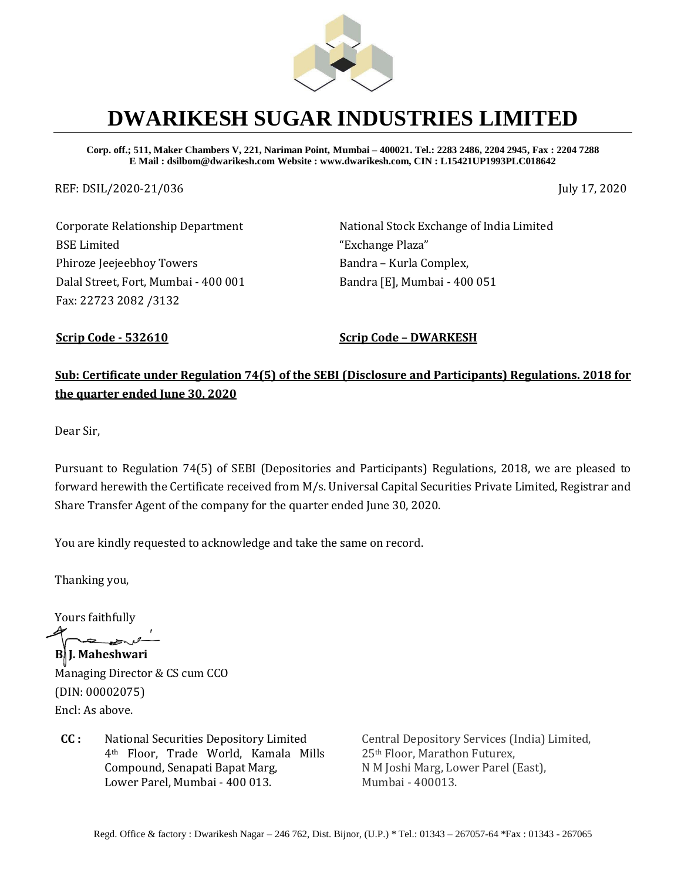

## **DWARIKESH SUGAR INDUSTRIES LIMITED**

**Corp. off.; 511, Maker Chambers V, 221, Nariman Point, Mumbai – 400021. Tel.: 2283 2486, 2204 2945, Fax : 2204 7288 E Mail : dsilbom@dwarikesh.com Website : www.dwarikesh.com, CIN : L15421UP1993PLC018642**

REF: DSIL/2020-21/036 July 17, 2020

Corporate Relationship Department BSE Limited Phiroze Jeejeebhoy Towers Dalal Street, Fort, Mumbai - 400 001 Fax: 22723 2082 /3132

National Stock Exchange of India Limited "Exchange Plaza" Bandra – Kurla Complex, Bandra [E], Mumbai - 400 051

**Scrip Code - 532610 Scrip Code – DWARKESH**

**Sub: Certificate under Regulation 74(5) of the SEBI (Disclosure and Participants) Regulations. 2018 for the quarter ended June 30, 2020** 

Dear Sir,

Pursuant to Regulation 74(5) of SEBI (Depositories and Participants) Regulations, 2018, we are pleased to forward herewith the Certificate received from M/s. Universal Capital Securities Private Limited, Registrar and Share Transfer Agent of the company for the quarter ended June 30, 2020.

You are kindly requested to acknowledge and take the same on record.

Thanking you,

Yours faithfully

**B. J. Maheshwari** 

Managing Director & CS cum CCO (DIN: 00002075) Encl: As above.

**CC :** National Securities Depository Limited 4th Floor, Trade World, Kamala Mills Compound, Senapati Bapat Marg, Lower Parel, Mumbai - 400 013.

Central Depository Services (India) Limited, 25th Floor, Marathon Futurex, N M Joshi Marg, Lower Parel (East), Mumbai - 400013.